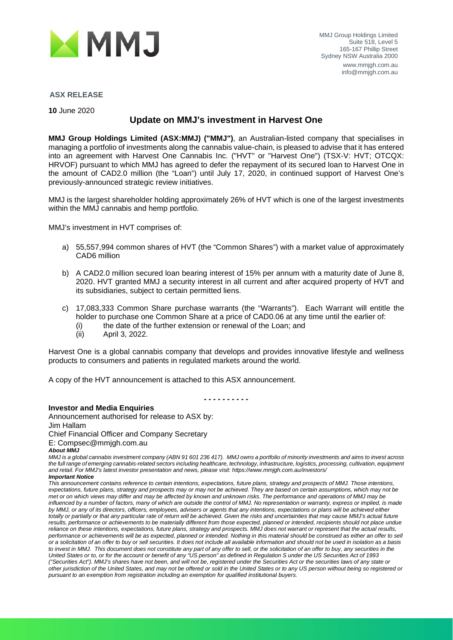

## **ASX RELEASE**

**10** June 2020

# **Update on MMJ's investment in Harvest One**

**MMJ Group Holdings Limited (ASX:MMJ) ("MMJ")**, an Australian-listed company that specialises in managing a portfolio of investments along the cannabis value-chain, is pleased to advise that it has entered into an agreement with Harvest One Cannabis Inc. ("HVT" or "Harvest One") (TSX-V: HVT; OTCQX: HRVOF) pursuant to which MMJ has agreed to defer the repayment of its secured loan to Harvest One in the amount of CAD2.0 million (the "Loan") until July 17, 2020, in continued support of Harvest One's previously-announced strategic review initiatives.

MMJ is the largest shareholder holding approximately 26% of HVT which is one of the largest investments within the MMJ cannabis and hemp portfolio.

MMJ's investment in HVT comprises of:

- a) 55,557,994 common shares of HVT (the "Common Shares") with a market value of approximately CAD6 million
- b) A CAD2.0 million secured loan bearing interest of 15% per annum with a maturity date of June 8, 2020. HVT granted MMJ a security interest in all current and after acquired property of HVT and its subsidiaries, subject to certain permitted liens.
- c) 17,083,333 Common Share purchase warrants (the "Warrants"). Each Warrant will entitle the holder to purchase one Common Share at a price of CAD0.06 at any time until the earlier of:
	- (i) the date of the further extension or renewal of the Loan; and  $(ii)$  April 3, 2022.
	- April 3, 2022.

Harvest One is a global cannabis company that develops and provides innovative lifestyle and wellness products to consumers and patients in regulated markets around the world.

A copy of the HVT announcement is attached to this ASX announcement.

*- - - - - - - - - -* 

### **Investor and Media Enquiries**

Announcement authorised for release to ASX by: Jim Hallam Chief Financial Officer and Company Secretary E: Compsec@mmjgh.com.au *About MMJ*

*MMJ is a global cannabis investment company (ABN 91 601 236 417). MMJ owns a portfolio of minority investments and aims to invest across the full range of emerging cannabis-related sectors including healthcare, technology, infrastructure, logistics, processing, cultivation, equipment and retail. For MMJ's latest investor presentation and news, please visit: https://www.mmjgh.com.au/investors/ Important Notice*

*This announcement contains reference to certain intentions, expectations, future plans, strategy and prospects of MMJ. Those intentions, expectations, future plans, strategy and prospects may or may not be achieved. They are based on certain assumptions, which may not be met or on which views may differ and may be affected by known and unknown risks. The performance and operations of MMJ may be* influenced by a number of factors, many of which are outside the control of MMJ. No representation or warranty, express or implied, is made *by MMJ, or any of its directors, officers, employees, advisers or agents that any intentions, expectations or plans will be achieved either totally or partially or that any particular rate of return will be achieved. Given the risks and uncertainties that may cause MMJ's actual future*  results, performance or achievements to be materially different from those expected, planned or intended, recipients should not place undue *reliance on these intentions, expectations, future plans, strategy and prospects. MMJ does not warrant or represent that the actual results,*  performance or achievements will be as expected, planned or intended. Nothing in this material should be construed as either an offer to sell *or a solicitation of an offer to buy or sell securities. It does not include all available information and should not be used in isolation as a basis*  to invest in MMJ. This document does not constitute any part of any offer to sell, or the solicitation of an offer to buy, any securities in the *United States or to, or for the account or benefit of any "US person" as defined in Regulation S under the US Securities Act of 1993 ("Securities Act"). MMJ's shares have not been, and will not be, registered under the Securities Act or the securities laws of any state or other jurisdiction of the United States, and may not be offered or sold in the United States or to any US person without being so registered or pursuant to an exemption from registration including an exemption for qualified institutional buyers.*